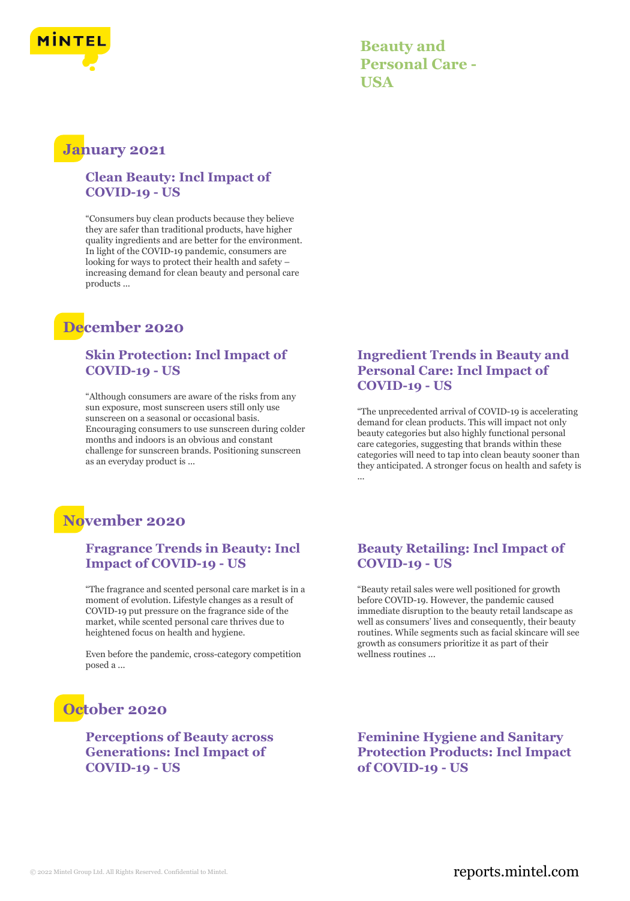

**Beauty and Personal Care - USA**

### **January 2021**

#### **Clean Beauty: Incl Impact of COVID-19 - US**

"Consumers buy clean products because they believe they are safer than traditional products, have higher quality ingredients and are better for the environment. In light of the COVID-19 pandemic, consumers are looking for ways to protect their health and safety – increasing demand for clean beauty and personal care products ...

## **December 2020**

### **Skin Protection: Incl Impact of COVID-19 - US**

"Although consumers are aware of the risks from any sun exposure, most sunscreen users still only use sunscreen on a seasonal or occasional basis. Encouraging consumers to use sunscreen during colder months and indoors is an obvious and constant challenge for sunscreen brands. Positioning sunscreen as an everyday product is ...

### **Ingredient Trends in Beauty and Personal Care: Incl Impact of COVID-19 - US**

"The unprecedented arrival of COVID-19 is accelerating demand for clean products. This will impact not only beauty categories but also highly functional personal care categories, suggesting that brands within these categories will need to tap into clean beauty sooner than they anticipated. A stronger focus on health and safety is ...

## **November 2020**

### **Fragrance Trends in Beauty: Incl Impact of COVID-19 - US**

"The fragrance and scented personal care market is in a moment of evolution. Lifestyle changes as a result of COVID-19 put pressure on the fragrance side of the market, while scented personal care thrives due to heightened focus on health and hygiene.

Even before the pandemic, cross-category competition posed a ...

# **October 2020**

**Perceptions of Beauty across Generations: Incl Impact of COVID-19 - US**

#### **Beauty Retailing: Incl Impact of COVID-19 - US**

"Beauty retail sales were well positioned for growth before COVID-19. However, the pandemic caused immediate disruption to the beauty retail landscape as well as consumers' lives and consequently, their beauty routines. While segments such as facial skincare will see growth as consumers prioritize it as part of their wellness routines ...

**Feminine Hygiene and Sanitary Protection Products: Incl Impact of COVID-19 - US**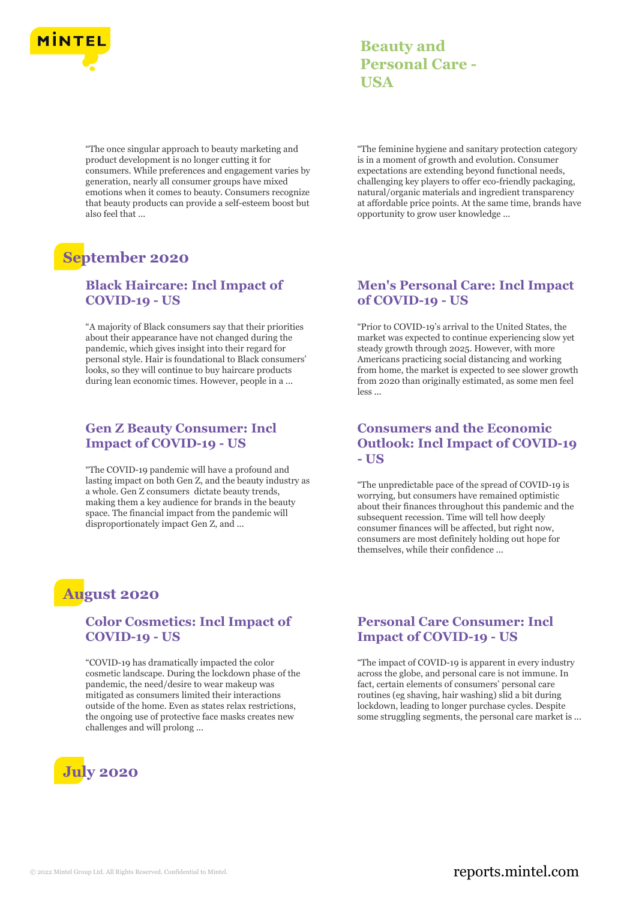

"The once singular approach to beauty marketing and product development is no longer cutting it for consumers. While preferences and engagement varies by generation, nearly all consumer groups have mixed emotions when it comes to beauty. Consumers recognize that beauty products can provide a self-esteem boost but also feel that ...

# **September 2020**

### **Black Haircare: Incl Impact of COVID-19 - US**

"A majority of Black consumers say that their priorities about their appearance have not changed during the pandemic, which gives insight into their regard for personal style. Hair is foundational to Black consumers' looks, so they will continue to buy haircare products during lean economic times. However, people in a ...

#### **Gen Z Beauty Consumer: Incl Impact of COVID-19 - US**

"The COVID-19 pandemic will have a profound and lasting impact on both Gen Z, and the beauty industry as a whole. Gen Z consumers dictate beauty trends, making them a key audience for brands in the beauty space. The financial impact from the pandemic will disproportionately impact Gen Z, and ...

### **Beauty and Personal Care - USA**

"The feminine hygiene and sanitary protection category is in a moment of growth and evolution. Consumer expectations are extending beyond functional needs, challenging key players to offer eco-friendly packaging, natural/organic materials and ingredient transparency at affordable price points. At the same time, brands have opportunity to grow user knowledge ...

#### **Men's Personal Care: Incl Impact of COVID-19 - US**

"Prior to COVID-19's arrival to the United States, the market was expected to continue experiencing slow yet steady growth through 2025. However, with more Americans practicing social distancing and working from home, the market is expected to see slower growth from 2020 than originally estimated, as some men feel less ...

### **Consumers and the Economic Outlook: Incl Impact of COVID-19 - US**

"The unpredictable pace of the spread of COVID-19 is worrying, but consumers have remained optimistic about their finances throughout this pandemic and the subsequent recession. Time will tell how deeply consumer finances will be affected, but right now, consumers are most definitely holding out hope for themselves, while their confidence ...

### **August 2020**

### **Color Cosmetics: Incl Impact of COVID-19 - US**

"COVID-19 has dramatically impacted the color cosmetic landscape. During the lockdown phase of the pandemic, the need/desire to wear makeup was mitigated as consumers limited their interactions outside of the home. Even as states relax restrictions, the ongoing use of protective face masks creates new challenges and will prolong ...



### **Personal Care Consumer: Incl Impact of COVID-19 - US**

"The impact of COVID-19 is apparent in every industry across the globe, and personal care is not immune. In fact, certain elements of consumers' personal care routines (eg shaving, hair washing) slid a bit during lockdown, leading to longer purchase cycles. Despite some struggling segments, the personal care market is ...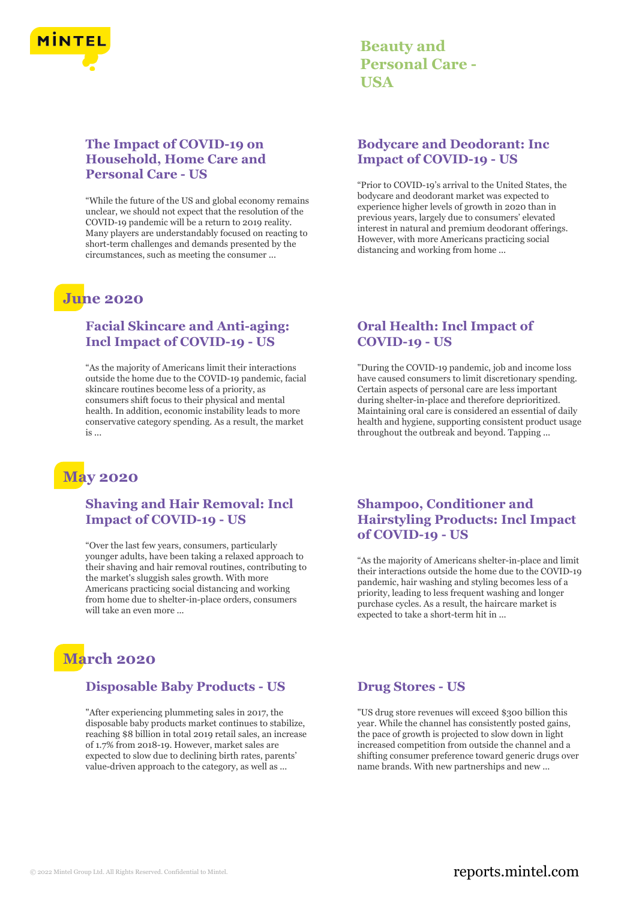

### **Beauty and Personal Care - USA**

### **The Impact of COVID-19 on Household, Home Care and Personal Care - US**

"While the future of the US and global economy remains unclear, we should not expect that the resolution of the COVID-19 pandemic will be a return to 2019 reality. Many players are understandably focused on reacting to short-term challenges and demands presented by the circumstances, such as meeting the consumer ...

## **June 2020**

### **Facial Skincare and Anti-aging: Incl Impact of COVID-19 - US**

"As the majority of Americans limit their interactions outside the home due to the COVID-19 pandemic, facial skincare routines become less of a priority, as consumers shift focus to their physical and mental health. In addition, economic instability leads to more conservative category spending. As a result, the market is ...

# **May 2020**

### **Shaving and Hair Removal: Incl Impact of COVID-19 - US**

"Over the last few years, consumers, particularly younger adults, have been taking a relaxed approach to their shaving and hair removal routines, contributing to the market's sluggish sales growth. With more Americans practicing social distancing and working from home due to shelter-in-place orders, consumers will take an even more ...

# **March 2020**

### **Disposable Baby Products - US**

"After experiencing plummeting sales in 2017, the disposable baby products market continues to stabilize, reaching \$8 billion in total 2019 retail sales, an increase of 1.7% from 2018-19. However, market sales are expected to slow due to declining birth rates, parents' value-driven approach to the category, as well as ...

### **Bodycare and Deodorant: Inc Impact of COVID-19 - US**

"Prior to COVID-19's arrival to the United States, the bodycare and deodorant market was expected to experience higher levels of growth in 2020 than in previous years, largely due to consumers' elevated interest in natural and premium deodorant offerings. However, with more Americans practicing social distancing and working from home ...

### **Oral Health: Incl Impact of COVID-19 - US**

"During the COVID-19 pandemic, job and income loss have caused consumers to limit discretionary spending. Certain aspects of personal care are less important during shelter-in-place and therefore deprioritized. Maintaining oral care is considered an essential of daily health and hygiene, supporting consistent product usage throughout the outbreak and beyond. Tapping ...

### **Shampoo, Conditioner and Hairstyling Products: Incl Impact of COVID-19 - US**

"As the majority of Americans shelter-in-place and limit their interactions outside the home due to the COVID-19 pandemic, hair washing and styling becomes less of a priority, leading to less frequent washing and longer purchase cycles. As a result, the haircare market is expected to take a short-term hit in ...

#### **Drug Stores - US**

"US drug store revenues will exceed \$300 billion this year. While the channel has consistently posted gains, the pace of growth is projected to slow down in light increased competition from outside the channel and a shifting consumer preference toward generic drugs over name brands. With new partnerships and new ...

### © 2022 Mintel Group Ltd. All Rights Reserved. Confidential to Mintel.  $\blacksquare$  reports.mintel.com